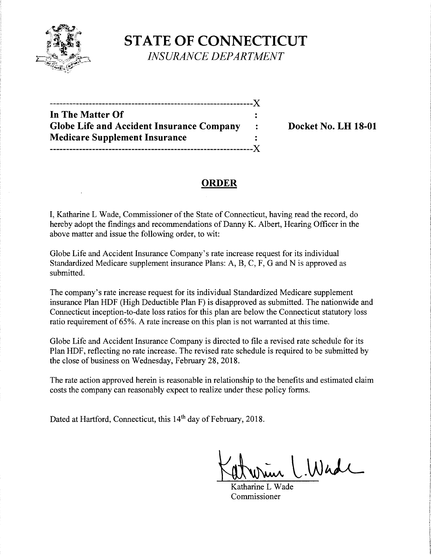

**STATE OF CONNECTICUT**  *INSURANCE DEPARTMENT* 

| In The Matter Of                                 |  |
|--------------------------------------------------|--|
| <b>Globe Life and Accident Insurance Company</b> |  |
| <b>Medicare Supplement Insurance</b>             |  |
|                                                  |  |

**Docket No. LH 18-01** 

# **ORDER**

I, Katharine L Wade, Commissioner of the State of Connecticut, having read the record, do hereby adopt the findings and recommendations of Danny K. Albert, Hearing Officer in the above matter and issue the following order, to wit:

Globe Life and Accident Insurance Company's rate increase request for its individual Standardized Medicare supplement insurance Plans: A, B, C, F, G and N is approved as submitted.

The company's rate increase request for its individual Standardized Medicare supplement insurance Plan HDF (High Deductible Plan F) is disapproved as submitted. The nationwide and Connecticut inception-to-date loss ratios for this plan are below the Connecticut statutory loss ratio requirement of 65%. A rate increase on this plan is not warranted at this time.

Globe Life and Accident Insurance Company is directed to file a revised rate schedule for its Plan HDF, reflecting no rate increase. The revised rate schedule is required to be submitted by the close of business on Wednesday, February 28, 2018.

The rate action approved herein is reasonable in relationship to the benefits and estimated claim costs the company can reasonably expect to realize under these policy forms.

Dated at Hartford, Connecticut, this 14<sup>th</sup> day of February, 2018.

 $l.Wadl$ 

Katharine L Wade Commissioner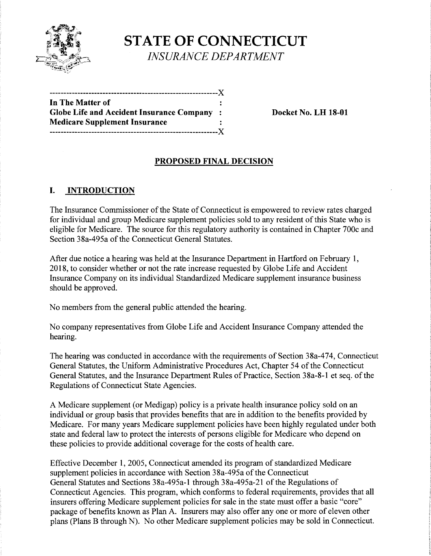

**STATE OF CONNECTICUT INSURANCE DEPARTMENT** 

| In The Matter of                           |      |
|--------------------------------------------|------|
| Globe Life and Accident Insurance Company: |      |
| <b>Medicare Supplement Insurance</b>       |      |
|                                            | -- X |

**Docket No. LH 18-01** 

### **PROPOSED FINAL DECISION**

# **I. INTRODUCTION**

The Insurance Commissioner of the State of Connecticut is empowered to review rates charged for individual and group Medicare supplement policies sold to any resident of this State who is eligible for Medicare. The source for this regulatory authority is contained in Chapter 700c and Section 38a-495a of the Connecticut General Statutes.

After due notice a hearing was held at the Insurance Department in Hartford on February 1, 2018, to consider whether or not the rate increase requested by Globe Life and Accident Insurance Company on its individual Standardized Medicare supplement insurance business should be approved.

No members from the general public attended the hearing.

No company representatives from Globe Life and Accident Insurance Company attended the hearing.

The hearing was conducted in accordance with the requirements of Section 38a-474, Connecticut General Statutes, the Uniform Administrative Procedures Act, Chapter 54 of the Connecticut General Statutes, and the Insurance Department Rules of Practice, Section 38a-8-1 et seq. of the Regulations of Connecticut State Agencies.

A Medicare supplement (or Medigap) policy is a private health insurance policy sold on an individual or group basis that provides benefits that are in addition to the benefits provided by Medicare. For many years Medicare supplement policies have been highly regulated under both state and federal law to protect the interests of persons eligible for Medicare who depend on these policies to provide additional coverage for the costs of health care.

Effective December **1,** 2005, Connecticut amended its program of standardized Medicare supplement policies in accordance with Section 38a-495a of the Connecticut General Statutes and Sections 38a-495a-1 through 38a-495a-21 of the Regulations of Connecticut Agencies. This program, which conforms to federal requirements, provides that all insurers offering Medicare supplement policies for sale in the state must offer a basic "core" package of benefits known as Plan A. Insurers may also offer any one or more of eleven other plans (Plans B through N). No other Medicare supplement policies may be sold in Connecticut.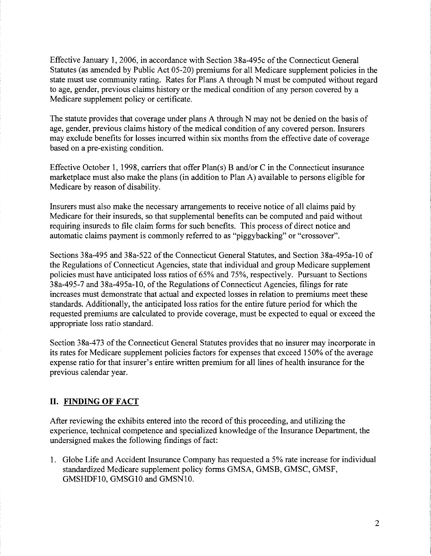Effective January **1,** 2006, in accordance with Section 38a-495c ofthe Connecticut General Statutes (as amended by Public Act 05-20) premiums for all Medicare supplement policies in the state must use community rating. Rates for Plans A through N must be computed without regard to age, gender, previous claims history or the medical condition of any person covered by a Medicare supplement policy or certificate.

The statute provides that coverage under plans A through N may not be denied on the basis of age, gender, previous claims history of the medical condition of any covered person. Insurers may exclude benefits for losses incurred within six months from the effective date of coverage based on a pre-existing condition.

Effective October 1, 1998, carriers that offer  $Plan(s)$  B and/or C in the Connecticut insurance marketplace must also make the plans (in addition to Plan A) available to persons eligible for Medicare by reason of disability.

Insurers must also make the necessary arrangements to receive notice of all claims paid by Medicare for their insureds, so that supplemental benefits can be computed and paid without requiring insureds to file claim forms for such benefits. This process of direct notice and automatic claims payment is commonly referred to as "piggybacking" or "crossover".

Sections 38a-495 and 38a-522 of the Connecticut General Statutes, and Section 38a-495a-10 of the Regulations of Connecticut Agencies, state that individual and group Medicare supplement policies must have anticipated loss ratios of 65% and 75%, respectively. Pursuant to Sections 38a-495-7 and 38a-495a-10, of the Regulations of Connecticut Agencies, filings for rate increases must demonstrate that actual and expected losses in relation to premiums meet these standards. Additionally, the anticipated loss ratios for the entire future period for which the requested premiums are calculated to provide coverage, must be expected to equal or exceed the appropriate loss ratio standard.

Section 38a-473 of the Connecticut General Statutes provides that no insurer may incorporate in its rates for Medicare supplement policies factors for expenses that exceed 150% of the average expense ratio for that insurer's entire written premium for all lines of health insurance for the previous calendar year.

#### **II. FINDING OF FACT**

After reviewing the exhibits entered into the record of this proceeding, and utilizing the experience, technical competence and specialized knowledge of the Insurance Department, the undersigned makes the following findings of fact:

**1.** Globe Life and Accident Insurance Company has requested a 5% rate increase for individual standardized Medicare supplement policy forms GMSA, GMSB, GMSC, GMSF, GMSHDFlO, GMSGlO and GMSNlO.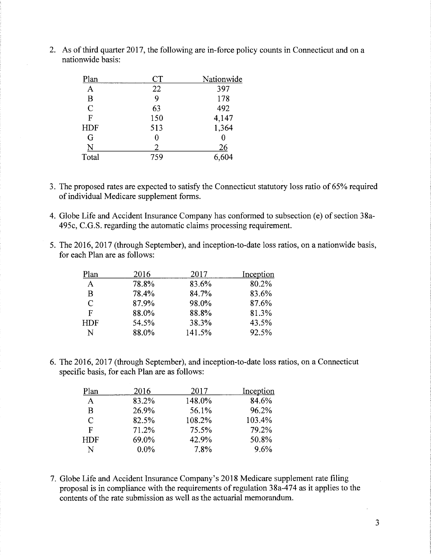| Plan        | <b>CT</b> | Nationwide |
|-------------|-----------|------------|
| A           | 22        | 397        |
| B           | 9         | 178        |
| $\mathbf C$ | 63        | 492        |
| F           | 150       | 4,147      |
| <b>HDF</b>  | 513       | 1,364      |
| G           | 0         |            |
| N           | 2         | <u> 26</u> |
| Total       | 759       | 6,604      |

2. As of third quarter 2017, the following are in-force policy counts in Connecticut and on a nationwide basis:

- 3. The proposed rates are expected to satisfy the Connecticut statutory loss ratio of 65% required of individual Medicare supplement forms.
- 4. Globe Life and Accident Insurance Company has conformed to subsection (e) of section 38a-495c, C.G.S. regarding the automatic claims processing requirement.
- 5. The 2016, 2017 (through September), and inception-to-date loss ratios, on a nationwide basis, for each Plan are as follows:

| Plan | 2016  | 2017   | Inception |
|------|-------|--------|-----------|
| A    | 78.8% | 83.6%  | 80.2%     |
| B    | 78.4% | 84.7%  | 83.6%     |
| C    | 87.9% | 98.0%  | 87.6%     |
| F    | 88.0% | 88.8%  | 81.3%     |
| HDF  | 54.5% | 38.3%  | 43.5%     |
| N    | 88.0% | 141.5% | 92.5%     |

6. The 2016, 2017 (through September), and inception-to-date loss ratios, on a Connecticut specific basis, for each Plan are as follows:

| Plan       | 2016    | 2017   | Inception |
|------------|---------|--------|-----------|
| A          | 83.2%   | 148.0% | 84.6%     |
| B          | 26.9%   | 56.1%  | 96.2%     |
| C          | 82.5%   | 108.2% | 103.4%    |
| F          | 71.2%   | 75.5%  | 79.2%     |
| <b>HDF</b> | 69.0%   | 42.9%  | 50.8%     |
| N          | $0.0\%$ | 7.8%   | 9.6%      |

7. Globe Life and Accident Insurance Company's 2018 Medicare supplement rate filing proposal is in compliance with the requirements of regulation 38a-474 as it applies to the contents of the rate submission as well as the actuarial memorandum.